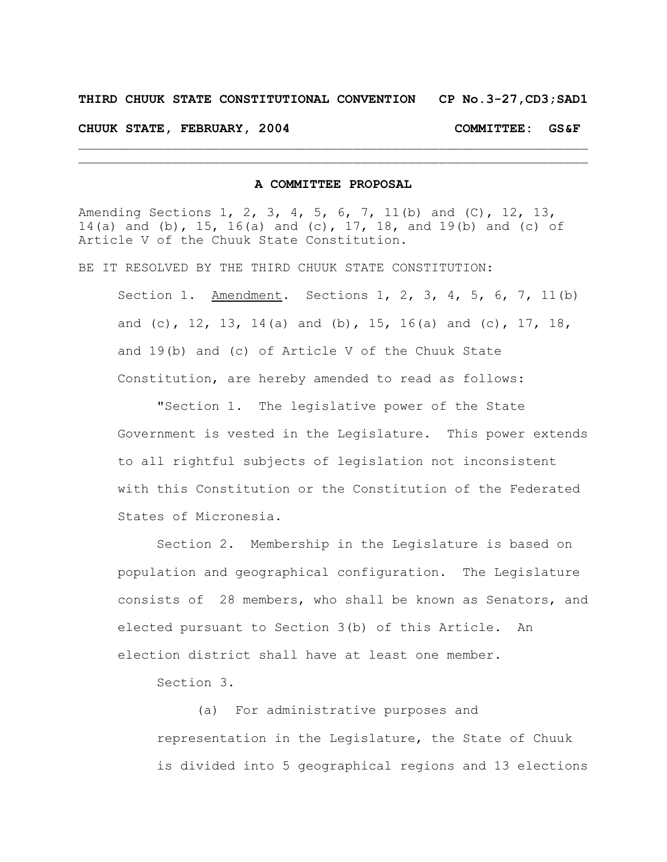## **THIRD CHUUK STATE CONSTITUTIONAL CONVENTION CP No.3-27,CD3;SAD1**

**CHUUK STATE, FEBRUARY, 2004 COMMITTEE: GS&F**

## **A COMMITTEE PROPOSAL**

 $\mathcal{L}_\text{max} = \mathcal{L}_\text{max} = \mathcal{L}_\text{max} = \mathcal{L}_\text{max} = \mathcal{L}_\text{max} = \mathcal{L}_\text{max} = \mathcal{L}_\text{max} = \mathcal{L}_\text{max} = \mathcal{L}_\text{max} = \mathcal{L}_\text{max} = \mathcal{L}_\text{max} = \mathcal{L}_\text{max} = \mathcal{L}_\text{max} = \mathcal{L}_\text{max} = \mathcal{L}_\text{max} = \mathcal{L}_\text{max} = \mathcal{L}_\text{max} = \mathcal{L}_\text{max} = \mathcal{$  $\mathcal{L}_\text{max} = \mathcal{L}_\text{max} = \mathcal{L}_\text{max} = \mathcal{L}_\text{max} = \mathcal{L}_\text{max} = \mathcal{L}_\text{max} = \mathcal{L}_\text{max} = \mathcal{L}_\text{max} = \mathcal{L}_\text{max} = \mathcal{L}_\text{max} = \mathcal{L}_\text{max} = \mathcal{L}_\text{max} = \mathcal{L}_\text{max} = \mathcal{L}_\text{max} = \mathcal{L}_\text{max} = \mathcal{L}_\text{max} = \mathcal{L}_\text{max} = \mathcal{L}_\text{max} = \mathcal{$ 

Amending Sections 1, 2, 3, 4, 5, 6, 7, 11(b) and (C), 12, 13, 14(a) and (b), 15, 16(a) and (c), 17, 18, and 19(b) and (c) of Article V of the Chuuk State Constitution.

BE IT RESOLVED BY THE THIRD CHUUK STATE CONSTITUTION:

Section 1. Amendment. Sections 1, 2, 3, 4, 5, 6, 7, 11(b) and (c), 12, 13, 14(a) and (b), 15, 16(a) and (c), 17, 18, and 19(b) and (c) of Article V of the Chuuk State Constitution, are hereby amended to read as follows:

"Section 1. The legislative power of the State Government is vested in the Legislature. This power extends to all rightful subjects of legislation not inconsistent with this Constitution or the Constitution of the Federated States of Micronesia.

Section 2. Membership in the Legislature is based on population and geographical configuration. The Legislature consists of 28 members, who shall be known as Senators, and elected pursuant to Section 3(b) of this Article. An election district shall have at least one member.

Section 3.

(a) For administrative purposes and representation in the Legislature, the State of Chuuk is divided into 5 geographical regions and 13 elections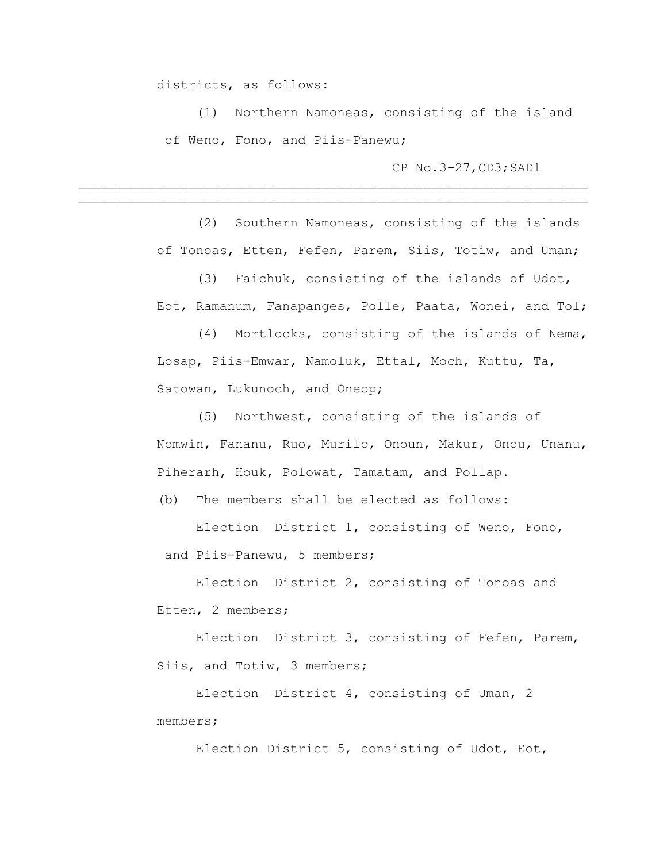districts, as follows:

(1) Northern Namoneas, consisting of the island of Weno, Fono, and Piis-Panewu;

 $\mathcal{L}_\text{max} = \mathcal{L}_\text{max} = \mathcal{L}_\text{max} = \mathcal{L}_\text{max} = \mathcal{L}_\text{max} = \mathcal{L}_\text{max} = \mathcal{L}_\text{max} = \mathcal{L}_\text{max} = \mathcal{L}_\text{max} = \mathcal{L}_\text{max} = \mathcal{L}_\text{max} = \mathcal{L}_\text{max} = \mathcal{L}_\text{max} = \mathcal{L}_\text{max} = \mathcal{L}_\text{max} = \mathcal{L}_\text{max} = \mathcal{L}_\text{max} = \mathcal{L}_\text{max} = \mathcal{$  $\mathcal{L}_\text{max} = \mathcal{L}_\text{max} = \mathcal{L}_\text{max} = \mathcal{L}_\text{max} = \mathcal{L}_\text{max} = \mathcal{L}_\text{max} = \mathcal{L}_\text{max} = \mathcal{L}_\text{max} = \mathcal{L}_\text{max} = \mathcal{L}_\text{max} = \mathcal{L}_\text{max} = \mathcal{L}_\text{max} = \mathcal{L}_\text{max} = \mathcal{L}_\text{max} = \mathcal{L}_\text{max} = \mathcal{L}_\text{max} = \mathcal{L}_\text{max} = \mathcal{L}_\text{max} = \mathcal{$ 

CP No.3-27,CD3;SAD1

(2) Southern Namoneas, consisting of the islands of Tonoas, Etten, Fefen, Parem, Siis, Totiw, and Uman;

(3) Faichuk, consisting of the islands of Udot, Eot, Ramanum, Fanapanges, Polle, Paata, Wonei, and Tol;

(4) Mortlocks, consisting of the islands of Nema, Losap, Piis-Emwar, Namoluk, Ettal, Moch, Kuttu, Ta, Satowan, Lukunoch, and Oneop;

(5) Northwest, consisting of the islands of Nomwin, Fananu, Ruo, Murilo, Onoun, Makur, Onou, Unanu, Piherarh, Houk, Polowat, Tamatam, and Pollap.

(b) The members shall be elected as follows:

Election District 1, consisting of Weno, Fono, and Piis-Panewu, 5 members;

Election District 2, consisting of Tonoas and Etten, 2 members;

Election District 3, consisting of Fefen, Parem, Siis, and Totiw, 3 members;

Election District 4, consisting of Uman, 2 members;

Election District 5, consisting of Udot, Eot,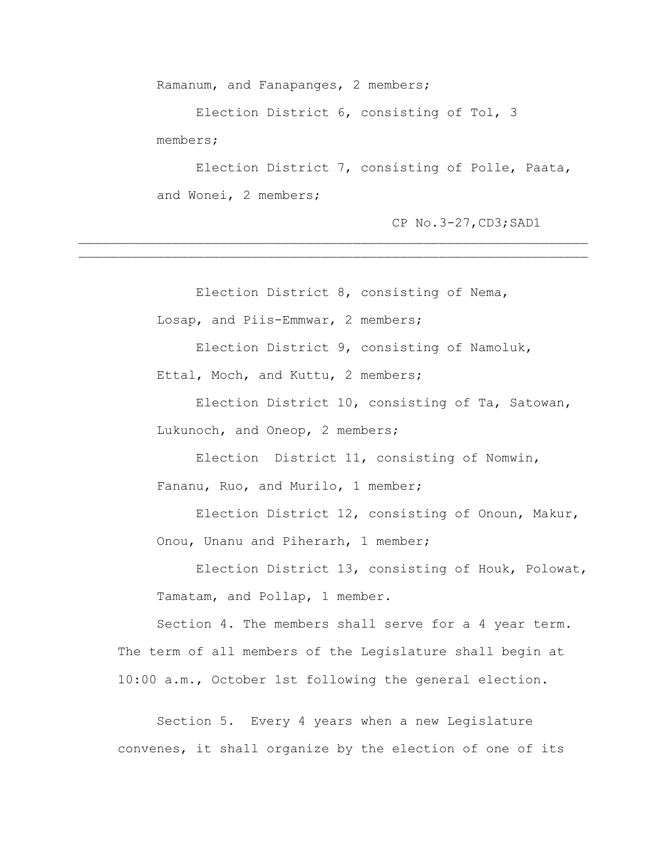Ramanum, and Fanapanges, 2 members;

Election District 6, consisting of Tol, 3 members;

 $\mathcal{L}_\text{max} = \mathcal{L}_\text{max} = \mathcal{L}_\text{max} = \mathcal{L}_\text{max} = \mathcal{L}_\text{max} = \mathcal{L}_\text{max} = \mathcal{L}_\text{max} = \mathcal{L}_\text{max} = \mathcal{L}_\text{max} = \mathcal{L}_\text{max} = \mathcal{L}_\text{max} = \mathcal{L}_\text{max} = \mathcal{L}_\text{max} = \mathcal{L}_\text{max} = \mathcal{L}_\text{max} = \mathcal{L}_\text{max} = \mathcal{L}_\text{max} = \mathcal{L}_\text{max} = \mathcal{$  $\mathcal{L}_\text{max} = \mathcal{L}_\text{max} = \mathcal{L}_\text{max} = \mathcal{L}_\text{max} = \mathcal{L}_\text{max} = \mathcal{L}_\text{max} = \mathcal{L}_\text{max} = \mathcal{L}_\text{max} = \mathcal{L}_\text{max} = \mathcal{L}_\text{max} = \mathcal{L}_\text{max} = \mathcal{L}_\text{max} = \mathcal{L}_\text{max} = \mathcal{L}_\text{max} = \mathcal{L}_\text{max} = \mathcal{L}_\text{max} = \mathcal{L}_\text{max} = \mathcal{L}_\text{max} = \mathcal{$ 

Election District 7, consisting of Polle, Paata, and Wonei, 2 members;

CP No.3-27,CD3;SAD1

Election District 8, consisting of Nema,

Losap, and Piis-Emmwar, 2 members;

Election District 9, consisting of Namoluk, Ettal, Moch, and Kuttu, 2 members;

Election District 10, consisting of Ta, Satowan, Lukunoch, and Oneop, 2 members;

Election District 11, consisting of Nomwin, Fananu, Ruo, and Murilo, 1 member;

Election District 12, consisting of Onoun, Makur, Onou, Unanu and Piherarh, 1 member;

Election District 13, consisting of Houk, Polowat, Tamatam, and Pollap, 1 member.

Section 4. The members shall serve for a 4 year term. The term of all members of the Legislature shall begin at 10:00 a.m., October 1st following the general election.

Section 5. Every 4 years when a new Legislature convenes, it shall organize by the election of one of its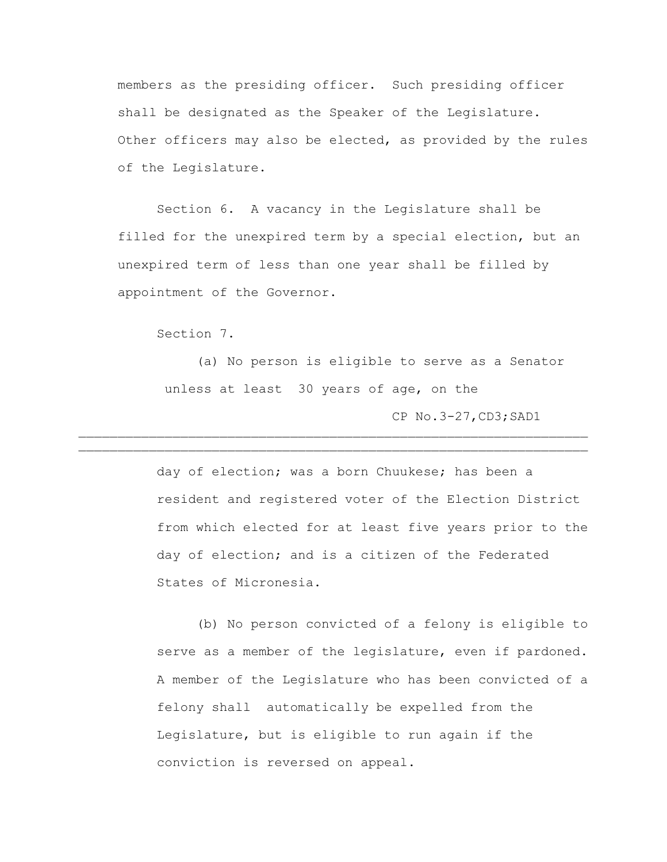members as the presiding officer. Such presiding officer shall be designated as the Speaker of the Legislature. Other officers may also be elected, as provided by the rules of the Legislature.

Section 6. A vacancy in the Legislature shall be filled for the unexpired term by a special election, but an unexpired term of less than one year shall be filled by appointment of the Governor.

Section 7.

(a) No person is eligible to serve as a Senator unless at least 30 years of age, on the CP No.3-27,CD3;SAD1  $\mathcal{L}_\text{max} = \mathcal{L}_\text{max} = \mathcal{L}_\text{max} = \mathcal{L}_\text{max} = \mathcal{L}_\text{max} = \mathcal{L}_\text{max} = \mathcal{L}_\text{max} = \mathcal{L}_\text{max} = \mathcal{L}_\text{max} = \mathcal{L}_\text{max} = \mathcal{L}_\text{max} = \mathcal{L}_\text{max} = \mathcal{L}_\text{max} = \mathcal{L}_\text{max} = \mathcal{L}_\text{max} = \mathcal{L}_\text{max} = \mathcal{L}_\text{max} = \mathcal{L}_\text{max} = \mathcal{$ 

 $\mathcal{L}_\text{max} = \mathcal{L}_\text{max} = \mathcal{L}_\text{max} = \mathcal{L}_\text{max} = \mathcal{L}_\text{max} = \mathcal{L}_\text{max} = \mathcal{L}_\text{max} = \mathcal{L}_\text{max} = \mathcal{L}_\text{max} = \mathcal{L}_\text{max} = \mathcal{L}_\text{max} = \mathcal{L}_\text{max} = \mathcal{L}_\text{max} = \mathcal{L}_\text{max} = \mathcal{L}_\text{max} = \mathcal{L}_\text{max} = \mathcal{L}_\text{max} = \mathcal{L}_\text{max} = \mathcal{$ 

day of election; was a born Chuukese; has been a resident and registered voter of the Election District from which elected for at least five years prior to the day of election; and is a citizen of the Federated States of Micronesia.

(b) No person convicted of a felony is eligible to serve as a member of the legislature, even if pardoned. A member of the Legislature who has been convicted of a felony shall automatically be expelled from the Legislature, but is eligible to run again if the conviction is reversed on appeal.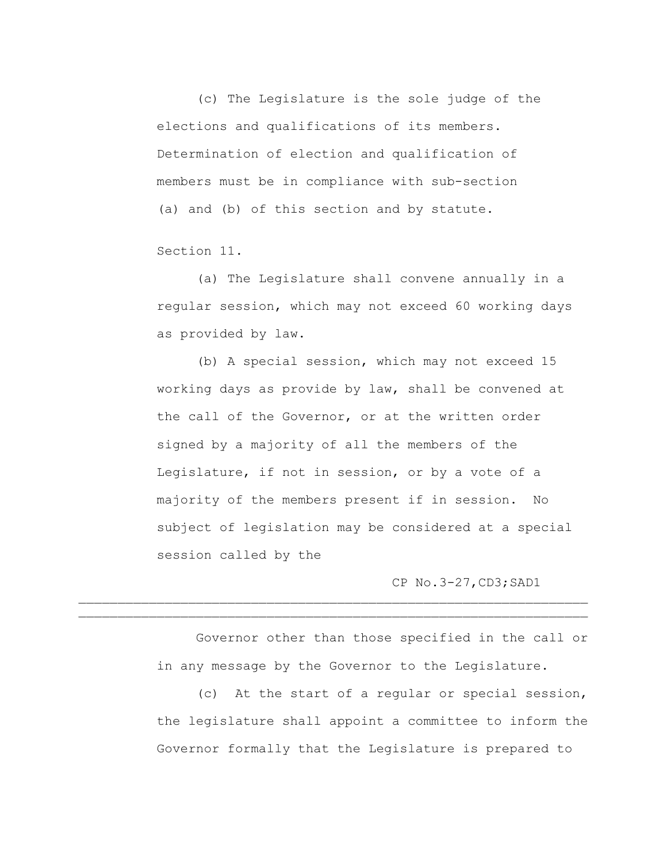(c) The Legislature is the sole judge of the elections and qualifications of its members. Determination of election and qualification of members must be in compliance with sub-section (a) and (b) of this section and by statute.

Section 11.

(a) The Legislature shall convene annually in a regular session, which may not exceed 60 working days as provided by law.

(b) A special session, which may not exceed 15 working days as provide by law, shall be convened at the call of the Governor, or at the written order signed by a majority of all the members of the Legislature, if not in session, or by a vote of a majority of the members present if in session. No subject of legislation may be considered at a special session called by the

CP No.3-27,CD3;SAD1

Governor other than those specified in the call or in any message by the Governor to the Legislature.

 $\mathcal{L}_\text{max} = \mathcal{L}_\text{max} = \mathcal{L}_\text{max} = \mathcal{L}_\text{max} = \mathcal{L}_\text{max} = \mathcal{L}_\text{max} = \mathcal{L}_\text{max} = \mathcal{L}_\text{max} = \mathcal{L}_\text{max} = \mathcal{L}_\text{max} = \mathcal{L}_\text{max} = \mathcal{L}_\text{max} = \mathcal{L}_\text{max} = \mathcal{L}_\text{max} = \mathcal{L}_\text{max} = \mathcal{L}_\text{max} = \mathcal{L}_\text{max} = \mathcal{L}_\text{max} = \mathcal{$ 

(c) At the start of a regular or special session, the legislature shall appoint a committee to inform the Governor formally that the Legislature is prepared to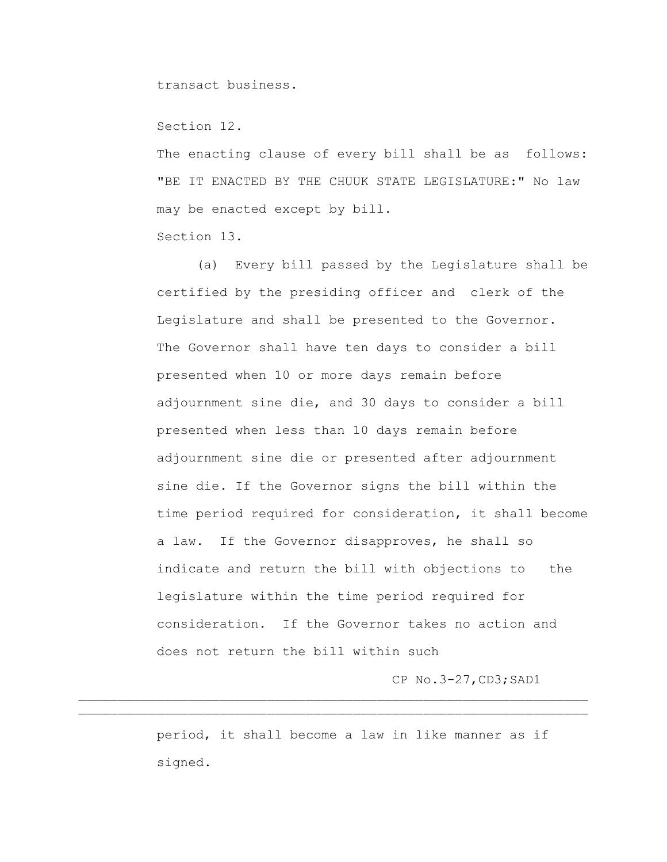transact business.

Section 12.

The enacting clause of every bill shall be as follows: "BE IT ENACTED BY THE CHUUK STATE LEGISLATURE:" No law may be enacted except by bill. Section 13.

(a) Every bill passed by the Legislature shall be certified by the presiding officer and clerk of the Legislature and shall be presented to the Governor. The Governor shall have ten days to consider a bill presented when 10 or more days remain before adjournment sine die, and 30 days to consider a bill presented when less than 10 days remain before adjournment sine die or presented after adjournment sine die. If the Governor signs the bill within the time period required for consideration, it shall become a law. If the Governor disapproves, he shall so indicate and return the bill with objections to the legislature within the time period required for consideration. If the Governor takes no action and does not return the bill within such

CP No.3-27,CD3;SAD1

period, it shall become a law in like manner as if signed.

 $\mathcal{L}_\text{max} = \mathcal{L}_\text{max} = \mathcal{L}_\text{max} = \mathcal{L}_\text{max} = \mathcal{L}_\text{max} = \mathcal{L}_\text{max} = \mathcal{L}_\text{max} = \mathcal{L}_\text{max} = \mathcal{L}_\text{max} = \mathcal{L}_\text{max} = \mathcal{L}_\text{max} = \mathcal{L}_\text{max} = \mathcal{L}_\text{max} = \mathcal{L}_\text{max} = \mathcal{L}_\text{max} = \mathcal{L}_\text{max} = \mathcal{L}_\text{max} = \mathcal{L}_\text{max} = \mathcal{$  $\mathcal{L}_\text{max} = \mathcal{L}_\text{max} = \mathcal{L}_\text{max} = \mathcal{L}_\text{max} = \mathcal{L}_\text{max} = \mathcal{L}_\text{max} = \mathcal{L}_\text{max} = \mathcal{L}_\text{max} = \mathcal{L}_\text{max} = \mathcal{L}_\text{max} = \mathcal{L}_\text{max} = \mathcal{L}_\text{max} = \mathcal{L}_\text{max} = \mathcal{L}_\text{max} = \mathcal{L}_\text{max} = \mathcal{L}_\text{max} = \mathcal{L}_\text{max} = \mathcal{L}_\text{max} = \mathcal{$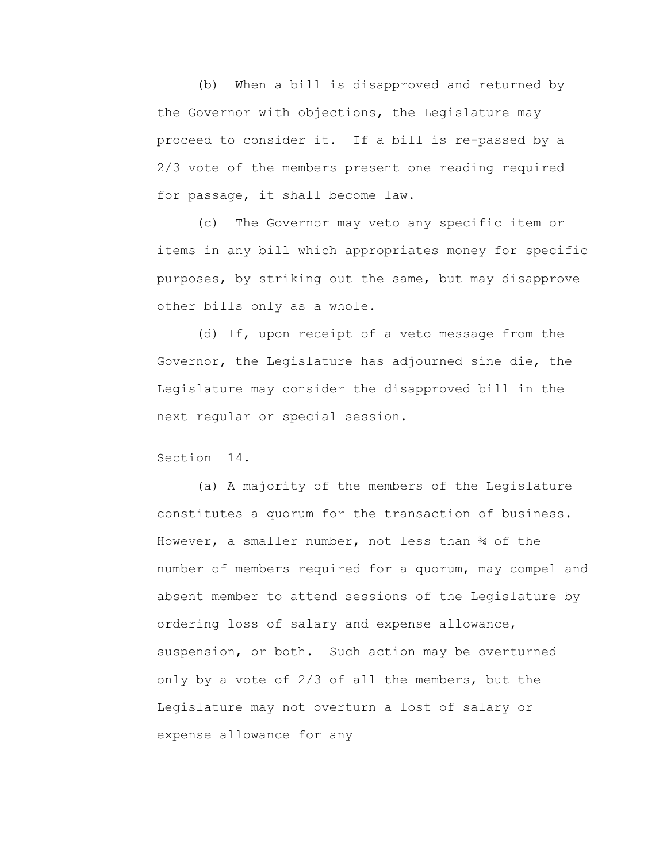(b) When a bill is disapproved and returned by the Governor with objections, the Legislature may proceed to consider it. If a bill is re-passed by a 2/3 vote of the members present one reading required for passage, it shall become law.

(c) The Governor may veto any specific item or items in any bill which appropriates money for specific purposes, by striking out the same, but may disapprove other bills only as a whole.

 (d) If, upon receipt of a veto message from the Governor, the Legislature has adjourned sine die, the Legislature may consider the disapproved bill in the next regular or special session.

Section 14.

(a) A majority of the members of the Legislature constitutes a quorum for the transaction of business. However, a smaller number, not less than ¾ of the number of members required for a quorum, may compel and absent member to attend sessions of the Legislature by ordering loss of salary and expense allowance, suspension, or both. Such action may be overturned only by a vote of 2/3 of all the members, but the Legislature may not overturn a lost of salary or expense allowance for any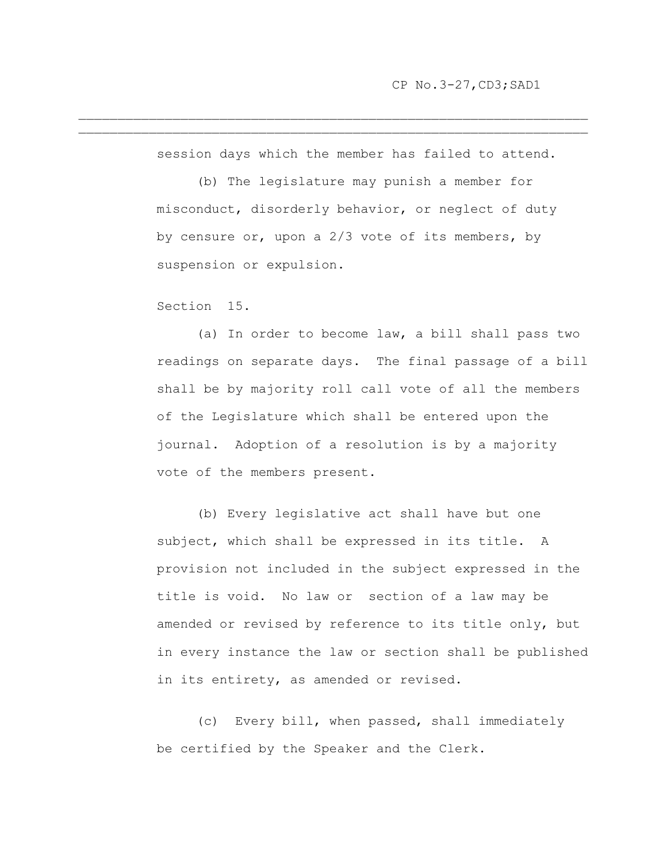session days which the member has failed to attend.

 $\mathcal{L}_\text{max} = \mathcal{L}_\text{max} = \mathcal{L}_\text{max} = \mathcal{L}_\text{max} = \mathcal{L}_\text{max} = \mathcal{L}_\text{max} = \mathcal{L}_\text{max} = \mathcal{L}_\text{max} = \mathcal{L}_\text{max} = \mathcal{L}_\text{max} = \mathcal{L}_\text{max} = \mathcal{L}_\text{max} = \mathcal{L}_\text{max} = \mathcal{L}_\text{max} = \mathcal{L}_\text{max} = \mathcal{L}_\text{max} = \mathcal{L}_\text{max} = \mathcal{L}_\text{max} = \mathcal{$  $\mathcal{L}_\text{max} = \mathcal{L}_\text{max} = \mathcal{L}_\text{max} = \mathcal{L}_\text{max} = \mathcal{L}_\text{max} = \mathcal{L}_\text{max} = \mathcal{L}_\text{max} = \mathcal{L}_\text{max} = \mathcal{L}_\text{max} = \mathcal{L}_\text{max} = \mathcal{L}_\text{max} = \mathcal{L}_\text{max} = \mathcal{L}_\text{max} = \mathcal{L}_\text{max} = \mathcal{L}_\text{max} = \mathcal{L}_\text{max} = \mathcal{L}_\text{max} = \mathcal{L}_\text{max} = \mathcal{$ 

> (b) The legislature may punish a member for misconduct, disorderly behavior, or neglect of duty by censure or, upon a 2/3 vote of its members, by suspension or expulsion.

Section 15.

(a) In order to become law, a bill shall pass two readings on separate days. The final passage of a bill shall be by majority roll call vote of all the members of the Legislature which shall be entered upon the journal. Adoption of a resolution is by a majority vote of the members present.

(b) Every legislative act shall have but one subject, which shall be expressed in its title. A provision not included in the subject expressed in the title is void. No law or section of a law may be amended or revised by reference to its title only, but in every instance the law or section shall be published in its entirety, as amended or revised.

(c) Every bill, when passed, shall immediately be certified by the Speaker and the Clerk.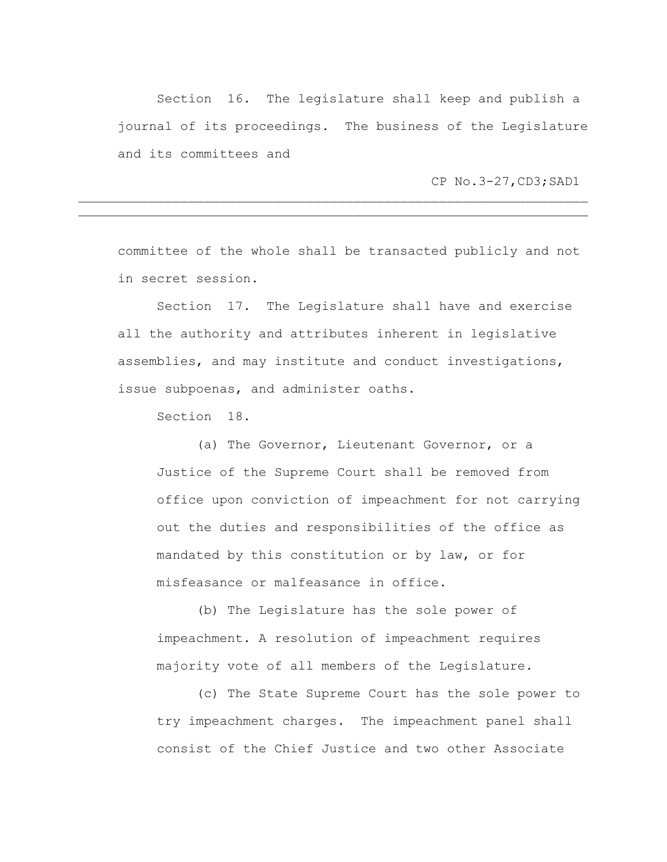Section 16. The legislature shall keep and publish a journal of its proceedings. The business of the Legislature and its committees and

CP No.3-27,CD3;SAD1

committee of the whole shall be transacted publicly and not in secret session.

 $\mathcal{L}_\text{max} = \mathcal{L}_\text{max} = \mathcal{L}_\text{max} = \mathcal{L}_\text{max} = \mathcal{L}_\text{max} = \mathcal{L}_\text{max} = \mathcal{L}_\text{max} = \mathcal{L}_\text{max} = \mathcal{L}_\text{max} = \mathcal{L}_\text{max} = \mathcal{L}_\text{max} = \mathcal{L}_\text{max} = \mathcal{L}_\text{max} = \mathcal{L}_\text{max} = \mathcal{L}_\text{max} = \mathcal{L}_\text{max} = \mathcal{L}_\text{max} = \mathcal{L}_\text{max} = \mathcal{$  $\mathcal{L}_\text{max} = \mathcal{L}_\text{max} = \mathcal{L}_\text{max} = \mathcal{L}_\text{max} = \mathcal{L}_\text{max} = \mathcal{L}_\text{max} = \mathcal{L}_\text{max} = \mathcal{L}_\text{max} = \mathcal{L}_\text{max} = \mathcal{L}_\text{max} = \mathcal{L}_\text{max} = \mathcal{L}_\text{max} = \mathcal{L}_\text{max} = \mathcal{L}_\text{max} = \mathcal{L}_\text{max} = \mathcal{L}_\text{max} = \mathcal{L}_\text{max} = \mathcal{L}_\text{max} = \mathcal{$ 

Section 17. The Legislature shall have and exercise all the authority and attributes inherent in legislative assemblies, and may institute and conduct investigations, issue subpoenas, and administer oaths.

Section 18.

(a) The Governor, Lieutenant Governor, or a Justice of the Supreme Court shall be removed from office upon conviction of impeachment for not carrying out the duties and responsibilities of the office as mandated by this constitution or by law, or for misfeasance or malfeasance in office.

(b) The Legislature has the sole power of impeachment. A resolution of impeachment requires majority vote of all members of the Legislature.

(c) The State Supreme Court has the sole power to try impeachment charges. The impeachment panel shall consist of the Chief Justice and two other Associate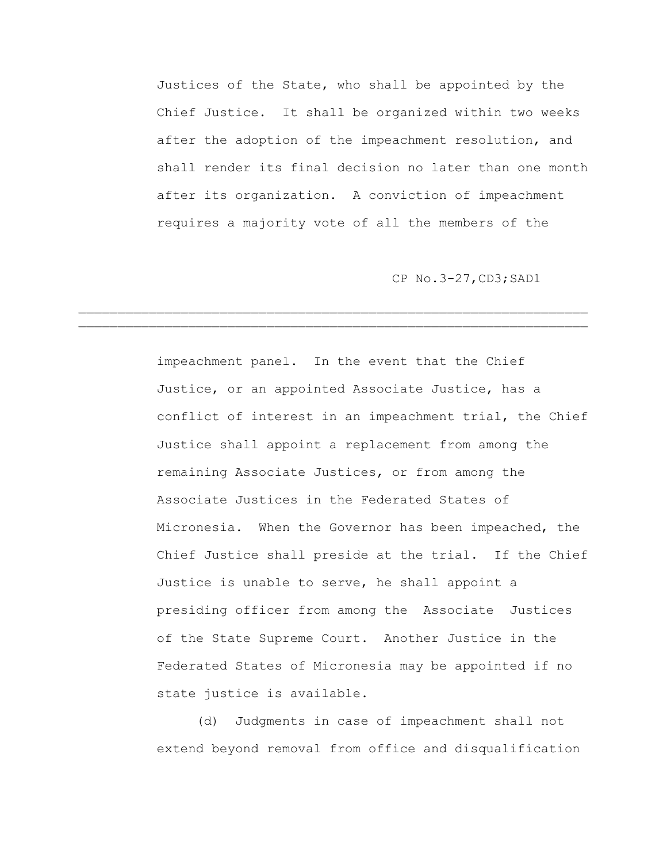Justices of the State, who shall be appointed by the Chief Justice. It shall be organized within two weeks after the adoption of the impeachment resolution, and shall render its final decision no later than one month after its organization. A conviction of impeachment requires a majority vote of all the members of the

 $\mathcal{L}_\text{max} = \mathcal{L}_\text{max} = \mathcal{L}_\text{max} = \mathcal{L}_\text{max} = \mathcal{L}_\text{max} = \mathcal{L}_\text{max} = \mathcal{L}_\text{max} = \mathcal{L}_\text{max} = \mathcal{L}_\text{max} = \mathcal{L}_\text{max} = \mathcal{L}_\text{max} = \mathcal{L}_\text{max} = \mathcal{L}_\text{max} = \mathcal{L}_\text{max} = \mathcal{L}_\text{max} = \mathcal{L}_\text{max} = \mathcal{L}_\text{max} = \mathcal{L}_\text{max} = \mathcal{$ 

CP No.3-27,CD3;SAD1

impeachment panel. In the event that the Chief Justice, or an appointed Associate Justice, has a conflict of interest in an impeachment trial, the Chief Justice shall appoint a replacement from among the remaining Associate Justices, or from among the Associate Justices in the Federated States of Micronesia. When the Governor has been impeached, the Chief Justice shall preside at the trial. If the Chief Justice is unable to serve, he shall appoint a presiding officer from among the Associate Justices of the State Supreme Court. Another Justice in the Federated States of Micronesia may be appointed if no state justice is available.

(d) Judgments in case of impeachment shall not extend beyond removal from office and disqualification